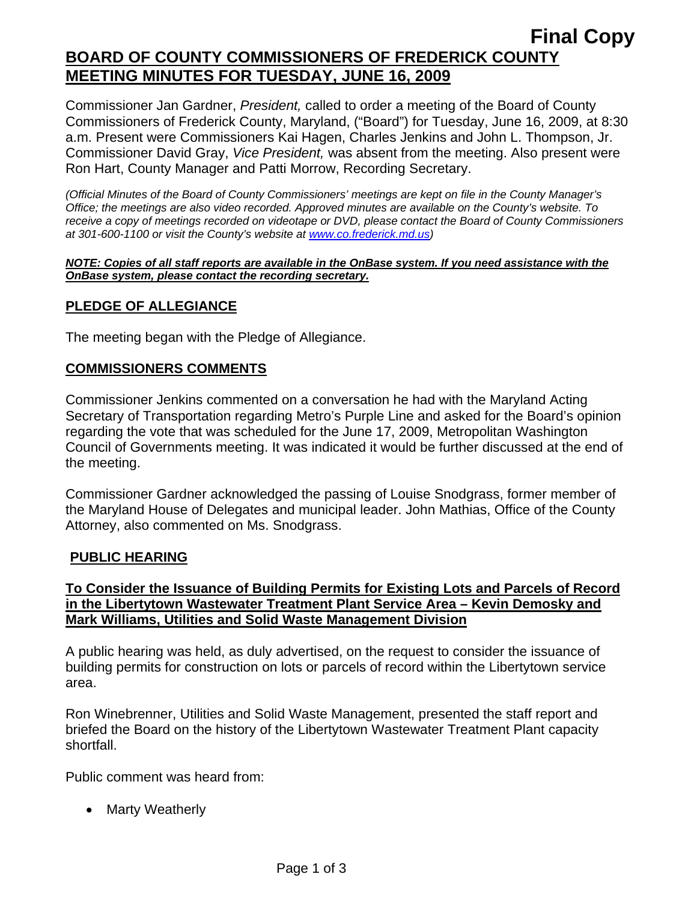Commissioner Jan Gardner, *President,* called to order a meeting of the Board of County Commissioners of Frederick County, Maryland, ("Board") for Tuesday, June 16, 2009, at 8:30 a.m. Present were Commissioners Kai Hagen, Charles Jenkins and John L. Thompson, Jr. Commissioner David Gray, *Vice President,* was absent from the meeting. Also present were Ron Hart, County Manager and Patti Morrow, Recording Secretary.

*(Official Minutes of the Board of County Commissioners' meetings are kept on file in the County Manager's Office; the meetings are also video recorded. Approved minutes are available on the County's website. To receive a copy of meetings recorded on videotape or DVD, please contact the Board of County Commissioners at 301-600-1100 or visit the County's website at [www.co.frederick.md.us\)](http://www.co.frederick.md.us/)* 

#### *NOTE: Copies of all staff reports are available in the OnBase system. If you need assistance with the OnBase system, please contact the recording secretary.*

## **PLEDGE OF ALLEGIANCE**

The meeting began with the Pledge of Allegiance.

#### **COMMISSIONERS COMMENTS**

Commissioner Jenkins commented on a conversation he had with the Maryland Acting Secretary of Transportation regarding Metro's Purple Line and asked for the Board's opinion regarding the vote that was scheduled for the June 17, 2009, Metropolitan Washington Council of Governments meeting. It was indicated it would be further discussed at the end of the meeting.

Commissioner Gardner acknowledged the passing of Louise Snodgrass, former member of the Maryland House of Delegates and municipal leader. John Mathias, Office of the County Attorney, also commented on Ms. Snodgrass.

### **PUBLIC HEARING**

### **To Consider the Issuance of Building Permits for Existing Lots and Parcels of Record in the Libertytown Wastewater Treatment Plant Service Area – Kevin Demosky and Mark Williams, Utilities and Solid Waste Management Division**

A public hearing was held, as duly advertised, on the request to consider the issuance of building permits for construction on lots or parcels of record within the Libertytown service area.

Ron Winebrenner, Utilities and Solid Waste Management, presented the staff report and briefed the Board on the history of the Libertytown Wastewater Treatment Plant capacity shortfall.

Public comment was heard from:

• Marty Weatherly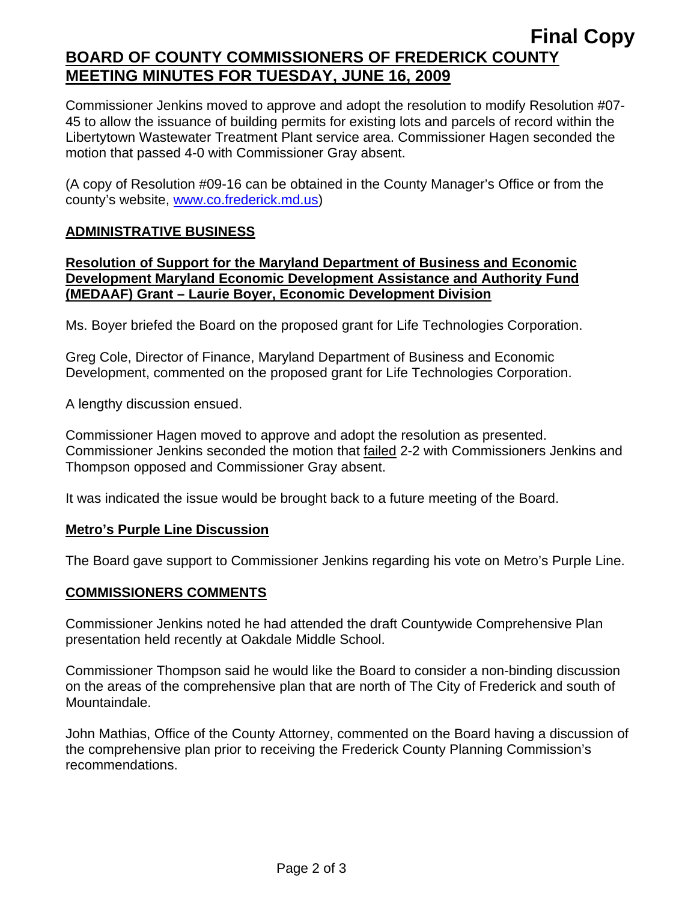# **Final Copy BOARD OF COUNTY COMMISSIONERS OF FREDERICK COUNTY MEETING MINUTES FOR TUESDAY, JUNE 16, 2009**

Commissioner Jenkins moved to approve and adopt the resolution to modify Resolution #07- 45 to allow the issuance of building permits for existing lots and parcels of record within the Libertytown Wastewater Treatment Plant service area. Commissioner Hagen seconded the motion that passed 4-0 with Commissioner Gray absent.

(A copy of Resolution #09-16 can be obtained in the County Manager's Office or from the county's website, www.co.frederick.md.us)

### **ADMINISTRATIVE BUSINESS**

#### **Resolution of Support for the Maryland Department of Business and Economic Development Maryland Economic Development Assistance and Authority Fund (MEDAAF) Grant – Laurie Boyer, Economic Development Division**

Ms. Boyer briefed the Board on the proposed grant for Life Technologies Corporation.

Greg Cole, Director of Finance, Maryland Department of Business and Economic Development, commented on the proposed grant for Life Technologies Corporation.

A lengthy discussion ensued.

Commissioner Hagen moved to approve and adopt the resolution as presented. Commissioner Jenkins seconded the motion that failed 2-2 with Commissioners Jenkins and Thompson opposed and Commissioner Gray absent.

It was indicated the issue would be brought back to a future meeting of the Board.

### **Metro's Purple Line Discussion**

The Board gave support to Commissioner Jenkins regarding his vote on Metro's Purple Line.

#### **COMMISSIONERS COMMENTS**

Commissioner Jenkins noted he had attended the draft Countywide Comprehensive Plan presentation held recently at Oakdale Middle School.

Commissioner Thompson said he would like the Board to consider a non-binding discussion on the areas of the comprehensive plan that are north of The City of Frederick and south of Mountaindale.

John Mathias, Office of the County Attorney, commented on the Board having a discussion of the comprehensive plan prior to receiving the Frederick County Planning Commission's recommendations.